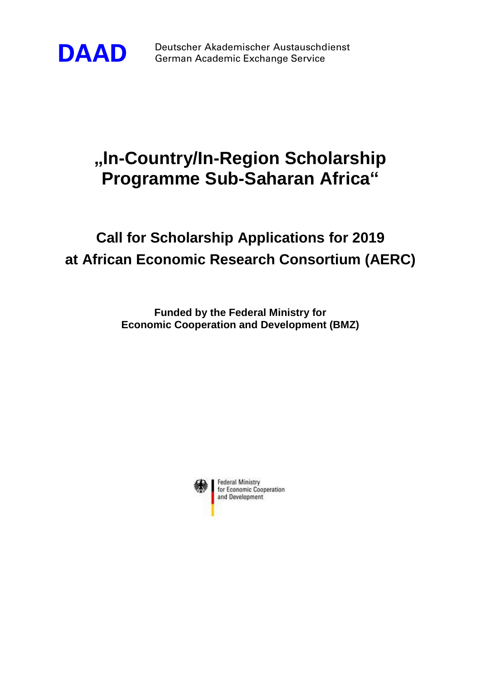

**DAAD** Deutscher Akademischer Austauschdienst German Academic Exchange Service

## **"In-Country/In-Region Scholarship Programme Sub-Saharan Africa"**

## **Call for Scholarship Applications for 2019 at African Economic Research Consortium (AERC)**

**Funded by the Federal Ministry for Economic Cooperation and Development (BMZ)**

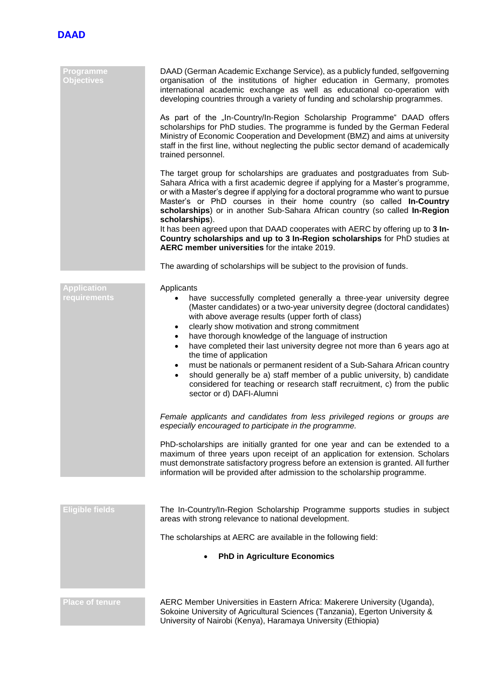

| Programme<br><b>Objectives</b>     | DAAD (German Academic Exchange Service), as a publicly funded, selfgoverning<br>organisation of the institutions of higher education in Germany, promotes<br>international academic exchange as well as educational co-operation with<br>developing countries through a variety of funding and scholarship programmes.<br>As part of the "In-Country/In-Region Scholarship Programme" DAAD offers<br>scholarships for PhD studies. The programme is funded by the German Federal<br>Ministry of Economic Cooperation and Development (BMZ) and aims at university<br>staff in the first line, without neglecting the public sector demand of academically<br>trained personnel.<br>The target group for scholarships are graduates and postgraduates from Sub-<br>Sahara Africa with a first academic degree if applying for a Master's programme,<br>or with a Master's degree if applying for a doctoral programme who want to pursue<br>Master's or PhD courses in their home country (so called In-Country<br>scholarships) or in another Sub-Sahara African country (so called In-Region<br>scholarships).<br>It has been agreed upon that DAAD cooperates with AERC by offering up to 3 In-<br>Country scholarships and up to 3 In-Region scholarships for PhD studies at<br>AERC member universities for the intake 2019. |
|------------------------------------|----------------------------------------------------------------------------------------------------------------------------------------------------------------------------------------------------------------------------------------------------------------------------------------------------------------------------------------------------------------------------------------------------------------------------------------------------------------------------------------------------------------------------------------------------------------------------------------------------------------------------------------------------------------------------------------------------------------------------------------------------------------------------------------------------------------------------------------------------------------------------------------------------------------------------------------------------------------------------------------------------------------------------------------------------------------------------------------------------------------------------------------------------------------------------------------------------------------------------------------------------------------------------------------------------------------------------------|
|                                    | The awarding of scholarships will be subject to the provision of funds.                                                                                                                                                                                                                                                                                                                                                                                                                                                                                                                                                                                                                                                                                                                                                                                                                                                                                                                                                                                                                                                                                                                                                                                                                                                          |
| <b>Application</b><br>requirements | Applicants<br>have successfully completed generally a three-year university degree<br>(Master candidates) or a two-year university degree (doctoral candidates)<br>with above average results (upper forth of class)<br>clearly show motivation and strong commitment<br>$\bullet$<br>have thorough knowledge of the language of instruction<br>٠<br>have completed their last university degree not more than 6 years ago at<br>$\bullet$<br>the time of application<br>must be nationals or permanent resident of a Sub-Sahara African country<br>$\bullet$<br>should generally be a) staff member of a public university, b) candidate<br>$\bullet$<br>considered for teaching or research staff recruitment, c) from the public<br>sector or d) DAFI-Alumni<br>Female applicants and candidates from less privileged regions or groups are<br>especially encouraged to participate in the programme.                                                                                                                                                                                                                                                                                                                                                                                                                         |
|                                    | PhD-scholarships are initially granted for one year and can be extended to a<br>maximum of three years upon receipt of an application for extension. Scholars<br>must demonstrate satisfactory progress before an extension is granted. All further<br>information will be provided after admission to the scholarship programme.                                                                                                                                                                                                                                                                                                                                                                                                                                                                                                                                                                                                                                                                                                                                                                                                                                                                                                                                                                                                |
|                                    |                                                                                                                                                                                                                                                                                                                                                                                                                                                                                                                                                                                                                                                                                                                                                                                                                                                                                                                                                                                                                                                                                                                                                                                                                                                                                                                                  |
| <b>Eligible fields</b>             | The In-Country/In-Region Scholarship Programme supports studies in subject<br>areas with strong relevance to national development.                                                                                                                                                                                                                                                                                                                                                                                                                                                                                                                                                                                                                                                                                                                                                                                                                                                                                                                                                                                                                                                                                                                                                                                               |
|                                    | The scholarships at AERC are available in the following field:                                                                                                                                                                                                                                                                                                                                                                                                                                                                                                                                                                                                                                                                                                                                                                                                                                                                                                                                                                                                                                                                                                                                                                                                                                                                   |
|                                    | <b>PhD in Agriculture Economics</b>                                                                                                                                                                                                                                                                                                                                                                                                                                                                                                                                                                                                                                                                                                                                                                                                                                                                                                                                                                                                                                                                                                                                                                                                                                                                                              |
|                                    |                                                                                                                                                                                                                                                                                                                                                                                                                                                                                                                                                                                                                                                                                                                                                                                                                                                                                                                                                                                                                                                                                                                                                                                                                                                                                                                                  |

**Place of tenure AERC Member Universities in Eastern Africa: Makerere University (Uganda),** Sokoine University of Agricultural Sciences (Tanzania), Egerton University & University of Nairobi (Kenya), Haramaya University (Ethiopia)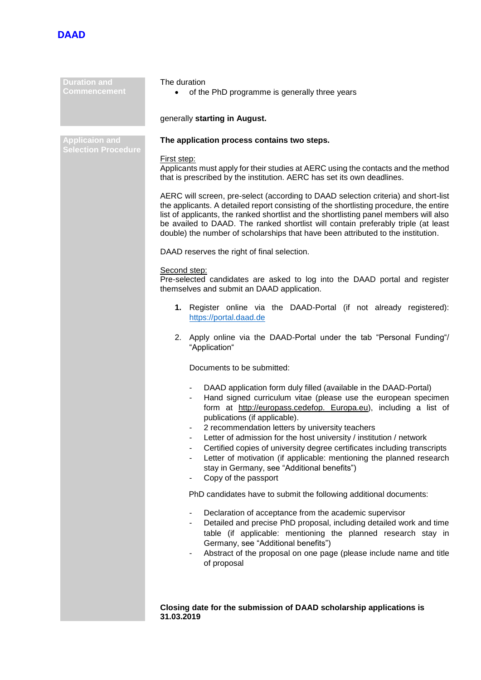

| <b>Duration and</b><br><b>Commencement</b>          | The duration<br>of the PhD programme is generally three years<br>generally starting in August.                                                                                                                                                                                                                                                                                                                                                                                                                                                                                               |  |
|-----------------------------------------------------|----------------------------------------------------------------------------------------------------------------------------------------------------------------------------------------------------------------------------------------------------------------------------------------------------------------------------------------------------------------------------------------------------------------------------------------------------------------------------------------------------------------------------------------------------------------------------------------------|--|
|                                                     |                                                                                                                                                                                                                                                                                                                                                                                                                                                                                                                                                                                              |  |
| <b>Applicaion and</b><br><b>Selection Procedure</b> | The application process contains two steps.                                                                                                                                                                                                                                                                                                                                                                                                                                                                                                                                                  |  |
|                                                     | First step:<br>Applicants must apply for their studies at AERC using the contacts and the method<br>that is prescribed by the institution. AERC has set its own deadlines.                                                                                                                                                                                                                                                                                                                                                                                                                   |  |
|                                                     | AERC will screen, pre-select (according to DAAD selection criteria) and short-list<br>the applicants. A detailed report consisting of the shortlisting procedure, the entire<br>list of applicants, the ranked shortlist and the shortlisting panel members will also<br>be availed to DAAD. The ranked shortlist will contain preferably triple (at least<br>double) the number of scholarships that have been attributed to the institution.                                                                                                                                               |  |
|                                                     | DAAD reserves the right of final selection.                                                                                                                                                                                                                                                                                                                                                                                                                                                                                                                                                  |  |
|                                                     | Second step:<br>Pre-selected candidates are asked to log into the DAAD portal and register<br>themselves and submit an DAAD application.                                                                                                                                                                                                                                                                                                                                                                                                                                                     |  |
|                                                     | 1. Register online via the DAAD-Portal (if not already registered):<br>https://portal.daad.de                                                                                                                                                                                                                                                                                                                                                                                                                                                                                                |  |
|                                                     | 2. Apply online via the DAAD-Portal under the tab "Personal Funding"/<br>"Application"                                                                                                                                                                                                                                                                                                                                                                                                                                                                                                       |  |
|                                                     | Documents to be submitted:                                                                                                                                                                                                                                                                                                                                                                                                                                                                                                                                                                   |  |
|                                                     | DAAD application form duly filled (available in the DAAD-Portal)<br>Hand signed curriculum vitae (please use the european specimen<br>form at http://europass.cedefop. Europa.eu), including a list of<br>publications (if applicable).<br>2 recommendation letters by university teachers<br>Letter of admission for the host university / institution / network<br>Certified copies of university degree certificates including transcripts<br>Letter of motivation (if applicable: mentioning the planned research<br>stay in Germany, see "Additional benefits")<br>Copy of the passport |  |
|                                                     | PhD candidates have to submit the following additional documents:                                                                                                                                                                                                                                                                                                                                                                                                                                                                                                                            |  |
|                                                     | Declaration of acceptance from the academic supervisor<br>Detailed and precise PhD proposal, including detailed work and time<br>table (if applicable: mentioning the planned research stay in<br>Germany, see "Additional benefits")<br>Abstract of the proposal on one page (please include name and title<br>of proposal                                                                                                                                                                                                                                                                  |  |
|                                                     |                                                                                                                                                                                                                                                                                                                                                                                                                                                                                                                                                                                              |  |
|                                                     | Closing date for the submission of DAAD scholarship applications is<br>31.03.2019                                                                                                                                                                                                                                                                                                                                                                                                                                                                                                            |  |